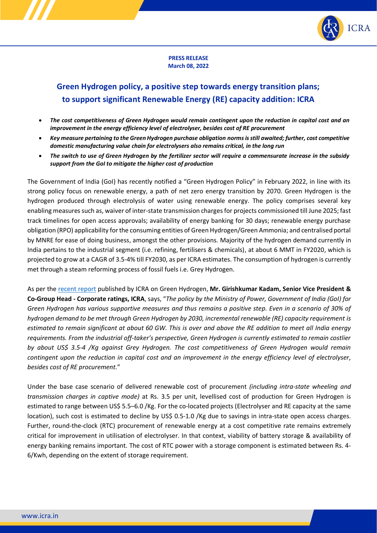

### **PRESS RELEASE March 08, 2022**

# **Green Hydrogen policy, a positive step towards energy transition plans; to support significant Renewable Energy (RE) capacity addition: ICRA**

- *The cost competitiveness of Green Hydrogen would remain contingent upon the reduction in capital cost and an improvement in the energy efficiency level of electrolyser, besides cost of RE procurement*
- *Key measure pertaining to the Green Hydrogen purchase obligation norms is still awaited; further, cost competitive domestic manufacturing value chain for electrolysers also remains critical, in the long run*
- *The switch to use of Green Hydrogen by the fertilizer sector will require a commensurate increase in the subsidy support from the GoI to mitigate the higher cost of production*

The Government of India (GoI) has recently notified a "Green Hydrogen Policy" in February 2022, in line with its strong policy focus on renewable energy, a path of net zero energy transition by 2070. Green Hydrogen is the hydrogen produced through electrolysis of water using renewable energy. The policy comprises several key enabling measures such as, waiver of inter-state transmission charges for projects commissioned till June 2025; fast track timelines for open access approvals; availability of energy banking for 30 days; renewable energy purchase obligation (RPO) applicability for the consuming entities of Green Hydrogen/Green Ammonia; and centralised portal by MNRE for ease of doing business, amongst the other provisions. Majority of the hydrogen demand currently in India pertains to the industrial segment (i.e. refining, fertilisers & chemicals), at about 6 MMT in FY2020, which is projected to grow at a CAGR of 3.5-4% till FY2030, as per ICRA estimates. The consumption of hydrogen is currently met through a steam reforming process of fossil fuels i.e. Grey Hydrogen.

As per the [recent report](https://www.icraresearch.in/research/ViewResearchReport/4214) published by ICRA on Green Hydrogen, **Mr. Girishkumar Kadam, Senior Vice President & Co-Group Head - Corporate ratings, ICRA**, says, "*The policy by the Ministry of Power, Government of India (GoI) for Green Hydrogen has various supportive measures and thus remains a positive step. Even in a scenario of 30% of hydrogen demand to be met through Green Hydrogen by 2030, incremental renewable (RE) capacity requirement is estimated to remain significant at about 60 GW. This is over and above the RE addition to meet all India energy requirements. From the industrial off-taker's perspective, Green Hydrogen is currently estimated to remain costlier by about US\$ 3.5-4 /Kg against Grey Hydrogen. The cost competitiveness of Green Hydrogen would remain contingent upon the reduction in capital cost and an improvement in the energy efficiency level of electrolyser, besides cost of RE procurement.*"

Under the base case scenario of delivered renewable cost of procurement *(including intra-state wheeling and transmission charges in captive mode)* at Rs. 3.5 per unit, levellised cost of production for Green Hydrogen is estimated to range between US\$ 5.5–6.0 /Kg. For the co-located projects (Electrolyser and RE capacity at the same location), such cost is estimated to decline by US\$ 0.5-1.0 /Kg due to savings in intra-state open access charges. Further, round-the-clock (RTC) procurement of renewable energy at a cost competitive rate remains extremely critical for improvement in utilisation of electrolyser. In that context, viability of battery storage & availability of energy banking remains important. The cost of RTC power with a storage component is estimated between Rs. 4- 6/Kwh, depending on the extent of storage requirement.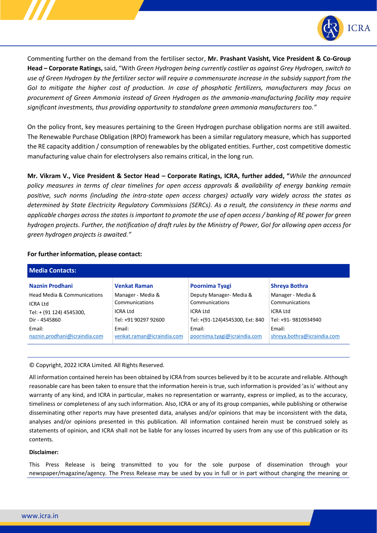

Commenting further on the demand from the fertiliser sector, **Mr. Prashant Vasisht, Vice President & Co-Group Head – Corporate Ratings,** said, "With *Green Hydrogen being currently costlier as against Grey Hydrogen, switch to use of Green Hydrogen by the fertilizer sector will require a commensurate increase in the subsidy support from the GoI to mitigate the higher cost of production. In case of phosphatic fertilizers, manufacturers may focus on procurement of Green Ammonia instead of Green Hydrogen as the ammonia-manufacturing facility may require significant investments, thus providing opportunity to standalone green ammonia manufacturers too."*

On the policy front, key measures pertaining to the Green Hydrogen purchase obligation norms are still awaited. The Renewable Purchase Obligation (RPO) framework has been a similar regulatory measure, which has supported the RE capacity addition / consumption of renewables by the obligated entities. Further, cost competitive domestic manufacturing value chain for electrolysers also remains critical, in the long run.

**Mr. Vikram V., Vice President & Sector Head – Corporate Ratings, ICRA, further added, "***While the announced policy measures in terms of clear timelines for open access approvals & availability of energy banking remain positive, such norms (including the intra-state open access charges) actually vary widely across the states as determined by State Electricity Regulatory Commissions (SERCs). As a result, the consistency in these norms and applicable charges across the states is important to promote the use of open access / banking of RE power for green hydrogen projects. Further, the notification of draft rules by the Ministry of Power, GoI for allowing open access for green hydrogen projects is awaited."*

| <b>Media Contacts:</b>        |                            |                                 |                             |
|-------------------------------|----------------------------|---------------------------------|-----------------------------|
| Naznin Prodhani               | <b>Venkat Raman</b>        | Poornima Tyagi                  | <b>Shreya Bothra</b>        |
| Head Media & Communications   | Manager - Media &          | Deputy Manager- Media &         | Manager - Media &           |
| ICRA Ltd                      | Communications             | Communications                  | Communications              |
| Tel: + (91 124) 4545300,      | <b>ICRA Ltd</b>            | ICRA Ltd                        | ICRA Ltd                    |
| Dir - 4545860                 | Tel: +91 90297 92600       | Tel: +(91-124)4545300, Ext: 840 | Tel: +91- 9810934940        |
| Email:                        | Email:                     | Email:                          | Email:                      |
| naznin.prodhani@icraindia.com | venkat.raman@icraindia.com | poornima.tyagi@icraindia.com    | shreya.bothra@icraindia.com |

## **For further information, please contact:**

#### © Copyright, 2022 ICRA Limited. All Rights Reserved.

All information contained herein has been obtained by ICRA from sources believed by it to be accurate and reliable. Although reasonable care has been taken to ensure that the information herein is true, such information is provided 'as is' without any warranty of any kind, and ICRA in particular, makes no representation or warranty, express or implied, as to the accuracy, timeliness or completeness of any such information. Also, ICRA or any of its group companies, while publishing or otherwise disseminating other reports may have presented data, analyses and/or opinions that may be inconsistent with the data, analyses and/or opinions presented in this publication. All information contained herein must be construed solely as statements of opinion, and ICRA shall not be liable for any losses incurred by users from any use of this publication or its contents.

#### **Disclaimer:**

This Press Release is being transmitted to you for the sole purpose of dissemination through your newspaper/magazine/agency. The Press Release may be used by you in full or in part without changing the meaning or